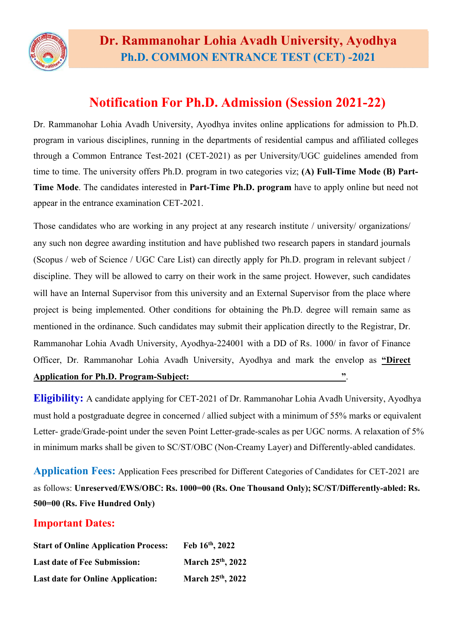

## Notification For Ph.D. Admission (Session 2021-22)

Dr. Rammanohar Lohia Avadh University, Ayodhya invites online applications for admission to Ph.D. program in various disciplines, running in the departments of residential campus and affiliated colleges through a Common Entrance Test-2021 (CET-2021) as per University/UGC guidelines amended from time to time. The university offers Ph.D. program in two categories viz; (A) Full-Time Mode (B) Part-Time Mode. The candidates interested in Part-Time Ph.D. program have to apply online but need not appear in the entrance examination CET-2021.

Those candidates who are working in any project at any research institute / university/ organizations/ any such non degree awarding institution and have published two research papers in standard journals (Scopus / web of Science / UGC Care List) can directly apply for Ph.D. program in relevant subject / discipline. They will be allowed to carry on their work in the same project. However, such candidates will have an Internal Supervisor from this university and an External Supervisor from the place where project is being implemented. Other conditions for obtaining the Ph.D. degree will remain same as mentioned in the ordinance. Such candidates may submit their application directly to the Registrar, Dr. Rammanohar Lohia Avadh University, Ayodhya-224001 with a DD of Rs. 1000/ in favor of Finance Officer, Dr. Rammanohar Lohia Avadh University, Ayodhya and mark the envelop as "Direct Application for Ph.D. Program-Subject:  $\blacksquare$ 

Eligibility: A candidate applying for CET-2021 of Dr. Rammanohar Lohia Avadh University, Ayodhya must hold a postgraduate degree in concerned / allied subject with a minimum of 55% marks or equivalent Letter- grade/Grade-point under the seven Point Letter-grade-scales as per UGC norms. A relaxation of 5% in minimum marks shall be given to SC/ST/OBC (Non-Creamy Layer) and Differently-abled candidates.

Application Fees: Application Fees prescribed for Different Categories of Candidates for CET-2021 are as follows: Unreserved/EWS/OBC: Rs. 1000=00 (Rs. One Thousand Only); SC/ST/Differently-abled: Rs. 500=00 (Rs. Five Hundred Only)

## Important Dates:

| <b>Start of Online Application Process:</b> | Feb 16th, 2022                |
|---------------------------------------------|-------------------------------|
| <b>Last date of Fee Submission:</b>         | March 25 <sup>th</sup> , 2022 |
| <b>Last date for Online Application:</b>    | March 25th, 2022              |